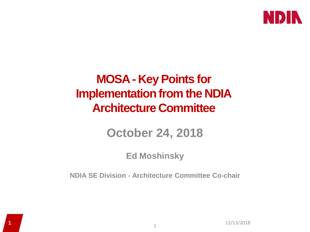

#### **MOSA - Key Points for Implementation from the NDIA Architecture Committee**

#### **October 24, 2018**

#### **Ed Moshinsky**

**NDIA SE Division - Architecture Committee Co-chair**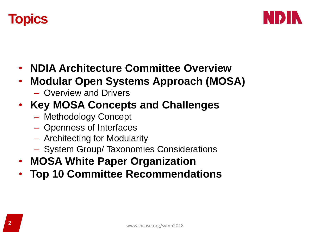



• **Top 10 Committee Recommendations**

– System Group/ Taxonomies Considerations

• **NDIA Architecture Committee Overview**

• **Modular Open Systems Approach (MOSA)**

- -
	-
- Openness of Interfaces
- Architecting for Modularity
- Methodology Concept
- 
- **Key MOSA Concepts and Challenges**
	-
	-
	-

– Overview and Drivers



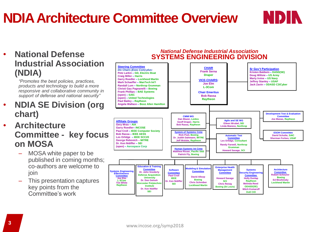## **NDIA Architecture Committee Overview**

#### • **National Defense Industrial Association (NDIA)**

*"Promotes the best policies, practices, products and technology to build a more responsive and collaborative community in support of defense and national security"*

- **NDIA SE Division (org chart)**
- **Architecture Committee - key focus on MOSA**
	- MOSA white paper to be published in coming months; co-authors are welcome to ioin
	- This presentation captures key points from the Committee's work

#### *National Defense Industrial Association* **SYSTEMS ENGINEERING DIVISION**

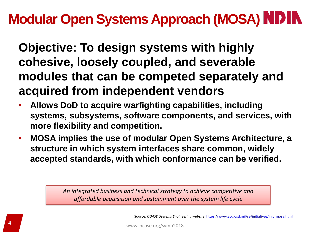## **Modular Open Systems Approach (MOSA)**

**Objective: To design systems with highly cohesive, loosely coupled, and severable modules that can be competed separately and acquired from independent vendors**

- **Allows DoD to acquire warfighting capabilities, including systems, subsystems, software components, and services, with more flexibility and competition.**
- **MOSA implies the use of modular Open Systems Architecture, a structure in which system interfaces share common, widely accepted standards, with which conformance can be verified.**

*An integrated business and technical strategy to achieve competitive and affordable acquisition and sustainment over the system life cycle*

Source: *ODASD Systems Engineering website:* [https://www.acq.osd.mil/se/initiatives/init\\_mosa.html](https://www.acq.osd.mil/se/initiatives/init_mosa.html)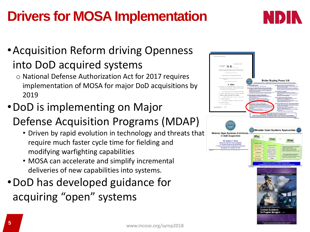# **Drivers for MOSA Implementation**



#### •Acquisition Reform driving Openness into DoD acquired systems

- o National Defense Authorization Act for 2017 requires implementation of MOSA for major DoD acquisitions by 2019
- •DoD is implementing on Major

#### Defense Acquisition Programs (MDAP)

- Driven by rapid evolution in technology and threats that require much faster cycle time for fielding and modifying warfighting capabilities
- MOSA can accelerate and simplify incremental deliveries of new capabilities into systems.
- •DoD has developed guidance for acquiring "open" systems

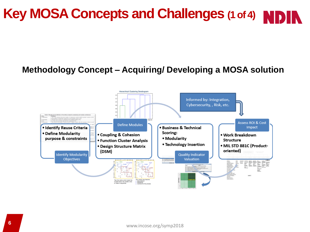## **Key MOSA Concepts and Challenges (1 of 4) NI**

#### **Methodology Concept – Acquiring/ Developing a MOSA solution**

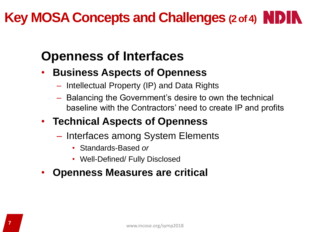## **Key MOSA Concepts and Challenges (2 of 4) NDIN**

### **Openness of Interfaces**

- **Business Aspects of Openness**
	- Intellectual Property (IP) and Data Rights
	- Balancing the Government's desire to own the technical baseline with the Contractors' need to create IP and profits

#### • **Technical Aspects of Openness**

- Interfaces among System Elements
	- Standards-Based *or*
	- Well-Defined/ Fully Disclosed
- **Openness Measures are critical**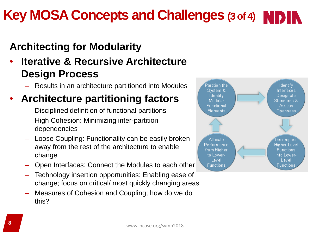## **Key MOSA Concepts and Challenges (3 of 4)**

#### **Architecting for Modularity**

#### • **Iterative & Recursive Architecture Design Process**

– Results in an architecture partitioned into Modules

#### • **Architecture partitioning factors**

- Disciplined definition of functional partitions
- High Cohesion: Minimizing inter-partition dependencies
- Loose Coupling: Functionality can be easily broken away from the rest of the architecture to enable change
- Open Interfaces: Connect the Modules to each other
- Technology insertion opportunities: Enabling ease of change; focus on critical/ most quickly changing areas
- Measures of Cohesion and Coupling; how do we do this?

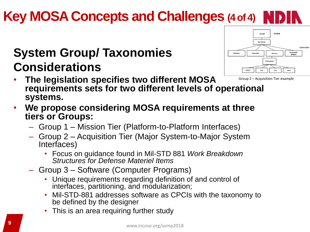#### www.incose.org/symp2018 **<sup>9</sup>**

# **Key MOSA Concepts and Challenges (4 of 4)**

### **System Group/ Taxonomies Considerations**

- **The legislation specifies two different MOSA requirements sets for two different levels of operational systems.** Group 2 – Acquisition Tier example
- **We propose considering MOSA requirements at three tiers or Groups:** 
	- Group 1 Mission Tier (Platform-to-Platform Interfaces)
	- Group 2 Acquisition Tier (Major System-to-Major System Interfaces)
		- Focus on guidance found in Mil-STD 881 *Work Breakdown Structures for Defense Materiel Items*
	- Group 3 Software (Computer Programs)
		- Unique requirements regarding definition of and control of interfaces, partitioning, and modularization;
		- Mil-STD-881 addresses software as CPCIs with the taxonomy to be defined by the designer
		- This is an area requiring further study

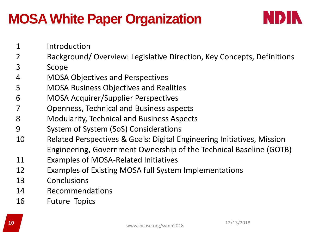## **MOSA White Paper Organization**



- Introduction
- Background/ Overview: Legislative Direction, Key Concepts, Definitions
- Scope
- MOSA Objectives and Perspectives
- MOSA Business Objectives and Realities
- MOSA Acquirer/Supplier Perspectives
- Openness, Technical and Business aspects
- Modularity, Technical and Business Aspects
- System of System (SoS) Considerations
- Related Perspectives & Goals: Digital Engineering Initiatives, Mission Engineering, Government Ownership of the Technical Baseline (GOTB)
- Examples of MOSA-Related Initiatives
- Examples of Existing MOSA full System Implementations
- Conclusions
- Recommendations
- Future Topics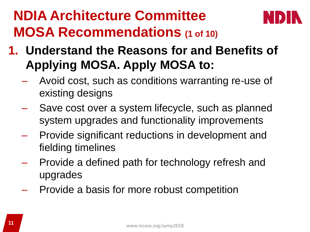## **NDIA Architecture Committee MOSA Recommendations (1 of 10)**



- **1. Understand the Reasons for and Benefits of Applying MOSA. Apply MOSA to:**
	- Avoid cost, such as conditions warranting re-use of existing designs
	- Save cost over a system lifecycle, such as planned system upgrades and functionality improvements
	- Provide significant reductions in development and fielding timelines
	- Provide a defined path for technology refresh and upgrades
	- Provide a basis for more robust competition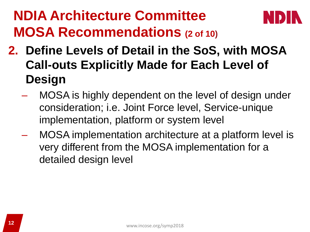## **NDIA Architecture Committee MOSA Recommendations (2 of 10)**



- **2. Define Levels of Detail in the SoS, with MOSA Call-outs Explicitly Made for Each Level of Design**
	- MOSA is highly dependent on the level of design under consideration; i.e. Joint Force level, Service-unique implementation, platform or system level
	- MOSA implementation architecture at a platform level is very different from the MOSA implementation for a detailed design level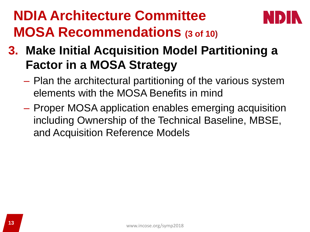## **NDIA Architecture Committee MOSA Recommendations (3 of 10)**



#### **3. Make Initial Acquisition Model Partitioning a Factor in a MOSA Strategy**

- Plan the architectural partitioning of the various system elements with the MOSA Benefits in mind
- Proper MOSA application enables emerging acquisition including Ownership of the Technical Baseline, MBSE, and Acquisition Reference Models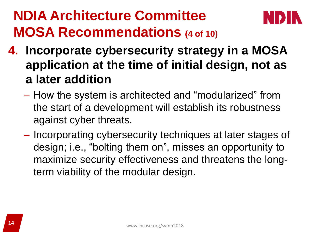## **NDIA Architecture Committee MOSA Recommendations (4 of 10)**



- **4. Incorporate cybersecurity strategy in a MOSA application at the time of initial design, not as a later addition**
	- How the system is architected and "modularized" from the start of a development will establish its robustness against cyber threats.
	- Incorporating cybersecurity techniques at later stages of design; i.e., "bolting them on", misses an opportunity to maximize security effectiveness and threatens the longterm viability of the modular design.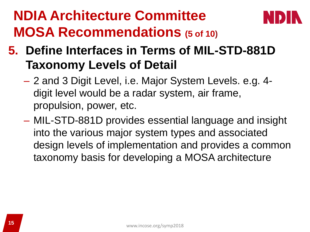## **NDIA Architecture Committee MOSA Recommendations (5 of 10)**



#### **5. Define Interfaces in Terms of MIL-STD-881D Taxonomy Levels of Detail**

- 2 and 3 Digit Level, i.e. Major System Levels. e.g. 4 digit level would be a radar system, air frame, propulsion, power, etc.
- MIL-STD-881D provides essential language and insight into the various major system types and associated design levels of implementation and provides a common taxonomy basis for developing a MOSA architecture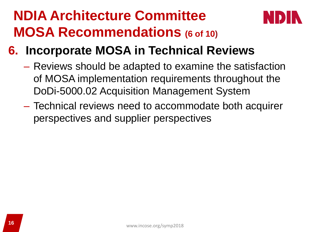## **NDIA Architecture Committee MOSA Recommendations (6 of 10)**



- **6. Incorporate MOSA in Technical Reviews**
	- Reviews should be adapted to examine the satisfaction of MOSA implementation requirements throughout the DoDi-5000.02 Acquisition Management System
	- Technical reviews need to accommodate both acquirer perspectives and supplier perspectives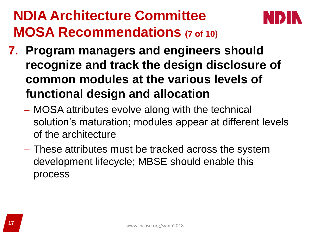## **NDIA Architecture Committee MOSA Recommendations (7 of 10)**



- **7. Program managers and engineers should recognize and track the design disclosure of common modules at the various levels of functional design and allocation**
	- MOSA attributes evolve along with the technical solution's maturation; modules appear at different levels of the architecture
	- These attributes must be tracked across the system development lifecycle; MBSE should enable this process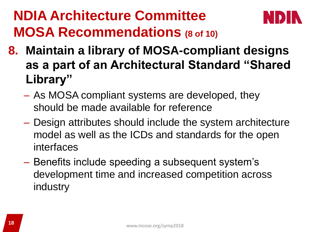## **NDIA Architecture Committee MOSA Recommendations (8 of 10)**



- **8. Maintain a library of MOSA-compliant designs as a part of an Architectural Standard "Shared Library"**
	- As MOSA compliant systems are developed, they should be made available for reference
	- Design attributes should include the system architecture model as well as the ICDs and standards for the open interfaces
	- Benefits include speeding a subsequent system's development time and increased competition across industry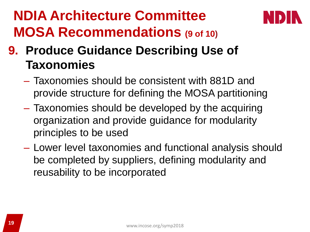## **NDIA Architecture Committee MOSA Recommendations (9 of 10)**



### **9. Produce Guidance Describing Use of Taxonomies**

- Taxonomies should be consistent with 881D and provide structure for defining the MOSA partitioning
- Taxonomies should be developed by the acquiring organization and provide guidance for modularity principles to be used
- Lower level taxonomies and functional analysis should be completed by suppliers, defining modularity and reusability to be incorporated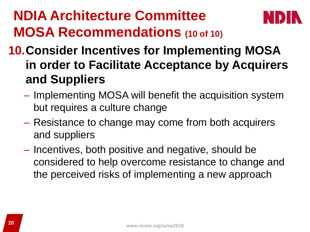## **NDIA Architecture Committee MOSA Recommendations (10 of 10)**



#### **10.Consider Incentives for Implementing MOSA in order to Facilitate Acceptance by Acquirers and Suppliers**

- Implementing MOSA will benefit the acquisition system but requires a culture change
- Resistance to change may come from both acquirers and suppliers
- Incentives, both positive and negative, should be considered to help overcome resistance to change and the perceived risks of implementing a new approach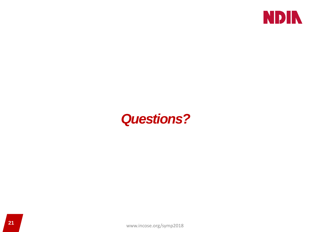

#### *Questions?*

www.incose.org/symp2018 **<sup>21</sup>**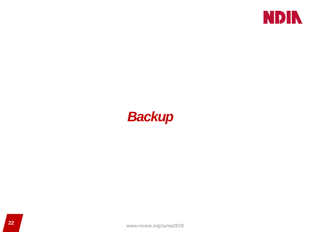

#### *Backup*

www.incose.org/symp2018 **<sup>22</sup>**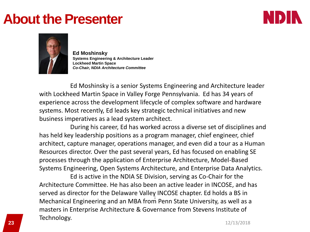#### **About the Presenter**





**Ed Moshinsky Systems Engineering & Architecture Leader Lockheed Martin Space** *Co-Chair, NDIA Architecture Committee*

Ed Moshinsky is a senior Systems Engineering and Architecture leader with Lockheed Martin Space in Valley Forge Pennsylvania. Ed has 34 years of experience across the development lifecycle of complex software and hardware systems. Most recently, Ed leads key strategic technical initiatives and new business imperatives as a lead system architect.

During his career, Ed has worked across a diverse set of disciplines and has held key leadership positions as a program manager, chief engineer, chief architect, capture manager, operations manager, and even did a tour as a Human Resources director. Over the past several years, Ed has focused on enabling SE processes through the application of Enterprise Architecture, Model-Based Systems Engineering, Open Systems Architecture, and Enterprise Data Analytics.

**23** 12/13/2018 Ed is active in the NDIA SE Division, serving as Co-Chair for the Architecture Committee. He has also been an active leader in INCOSE, and has served as director for the Delaware Valley INCOSE chapter. Ed holds a BS in Mechanical Engineering and an MBA from Penn State University, as well as a masters in Enterprise Architecture & Governance from Stevens Institute of Technology.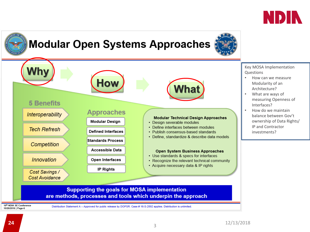



19th NDIA SE Conference 10/26/2016 | Page-6

Distribution Statement A - Approved for public release by DOPSR. Case # 16-S-2892 applies. Distribution is unlimited.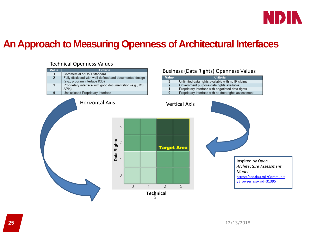

#### **An Approach to Measuring Openness of Architectural Interfaces**

#### Technical Openness Values

| Value                   | Criteria                                                                                 |
|-------------------------|------------------------------------------------------------------------------------------|
| $\overline{\mathbf{3}}$ | Commercial or DoD Standard                                                               |
| 2                       | Fully disclosed with well-defined and documented design<br>(e.g., program interface ICD) |
| 1                       | Proprietary interface with good documentation (e.g., MS<br>API <sub>s</sub> )            |
| $\bf{0}$                | Undisclosed Proprietary interface                                                        |

#### Horizontal Axis Vertical Axis 3 Data Rights<br> $\frac{1}{2}$  $\sqrt{2}$ **Target Area**  $\overline{0}$  $\overline{0}$  $\overline{1}$  $\overline{2}$ 3 **Technical** 5

#### Business (Data Rights) Openness Values Value Criteria



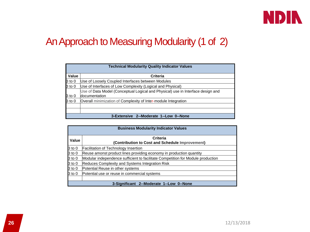

#### An Approach to Measuring Modularity (1 of 2)

| <b>Technical Modularity Quality Indicator Values</b> |                                                                                 |  |
|------------------------------------------------------|---------------------------------------------------------------------------------|--|
| Value                                                | Criteria                                                                        |  |
| $3$ to $0$                                           | Use of Loosely Coupled Interfaces between Modules                               |  |
| $3$ to $0$                                           | Use of Interfaces of Low Complexity (Logical and Physical)                      |  |
|                                                      | Use of Data Model (Conceptual Logical and Physical) use in Interface design and |  |
| 3 to 0                                               | <b>documentation</b>                                                            |  |
| $3$ to 0                                             | Overall minimization of Complexity of Inter-module Integration                  |  |
|                                                      |                                                                                 |  |
|                                                      |                                                                                 |  |
| 3-Extensive 2--Moderate 1--Low 0--None               |                                                                                 |  |

| <b>Business Modularity Indicator Values</b> |                                                                                 |  |
|---------------------------------------------|---------------------------------------------------------------------------------|--|
| Value                                       | Criteria                                                                        |  |
|                                             | (Contribution to Cost and Schedule Improvement)                                 |  |
| $3$ to $0$                                  | <b>Facilitation of Technology Insertion</b>                                     |  |
| $3$ to $0$                                  | Reuse amonst product lines providing economy in production quantity             |  |
| $3$ to $0$                                  | Modular independence sufficient to facilitate Competition for Module production |  |
| $3$ to $0$                                  | Reduces Complexity and Systems Integration Risk                                 |  |
| $3$ to $0$                                  | Potential Reuse in other systems                                                |  |
| $3$ to 0                                    | Potential use or reuse in commercial systems                                    |  |
|                                             |                                                                                 |  |
| 3-Significant 2--Moderate 1--Low 0--None    |                                                                                 |  |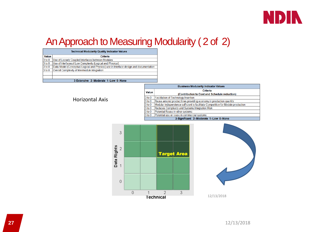

#### An Approach to Measuring Modularity ( 2 of 2)

| <b>Technical Modularity Quality Indicator Values</b> |                                                                                        |  |
|------------------------------------------------------|----------------------------------------------------------------------------------------|--|
| Value                                                | Criteria                                                                               |  |
| 3 <sub>to</sub> 0                                    | Use of Loosely Coupled Interfaces between Modules                                      |  |
| 3 <sub>to</sub> 0                                    | Use of Interfacesof Low Complexity (Logical and Physical)                              |  |
| 3 <sub>to</sub> 0                                    | Data Model (Conceptual Logical and Physical) use in Interface design and documentation |  |
| 3 <sub>to</sub> 0                                    | Overall Complexity of Intermodule Integration                                          |  |
|                                                      |                                                                                        |  |
|                                                      |                                                                                        |  |
| 3-Extensive 2--Moderate 1--Low 0--None               |                                                                                        |  |

#### Horizontal Axis

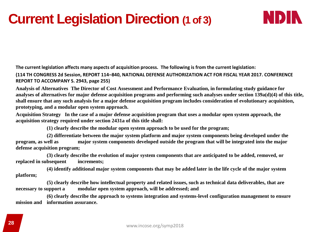### **Current Legislation Direction (1 of 3)**



**The current legislation affects many aspects of acquisition process. The following is from the current legislation:**

**(114 TH CONGRESS 2d Session, REPORT 114–840, NATIONAL DEFENSE AUTHORIZATION ACT FOR FISCAL YEAR 2017. CONFERENCE REPORT TO ACCOMPANY S. 2943, page 255)**

**Analysis of Alternatives The Director of Cost Assessment and Performance Evaluation, in formulating study guidance for analyses of alternatives for major defense acquisition programs and performing such analyses under section 139a(d)(4) of this title, shall ensure that any such analysis for a major defense acquisition program includes consideration of evolutionary acquisition, prototyping, and a modular open system approach.**

**Acquisition Strategy In the case of a major defense acquisition program that uses a modular open system approach, the acquisition strategy required under section 2431a of this title shall:**

**(1) clearly describe the modular open system approach to be used for the program;**

**(2) differentiate between the major system platform and major system components being developed under the program, as well as major system components developed outside the program that will be integrated into the major defense acquisition program;**

**(3) clearly describe the evolution of major system components that are anticipated to be added, removed, or replaced in subsequent increments;**

**(4) identify additional major system components that may be added later in the life cycle of the major system platform;**

**(5) clearly describe how intellectual property and related issues, such as technical data deliverables, that are necessary to support a modular open system approach, will be addressed; and**

**(6) clearly describe the approach to systems integration and systems-level configuration management to ensure mission and information assurance.**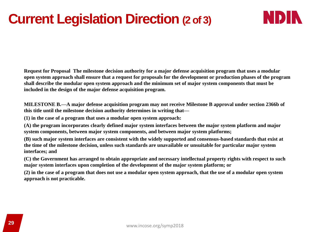### **Current Legislation Direction (2 of 3)**



**Request for Proposal The milestone decision authority for a major defense acquisition program that uses a modular open system approach shall ensure that a request for proposals for the development or production phases of the program shall describe the modular open system approach and the minimum set of major system components that must be included in the design of the major defense acquisition program.**

**MILESTONE B.—A major defense acquisition program may not receive Milestone B approval under section 2366b of this title until the milestone decision authority determines in writing that—**

**(1) in the case of a program that uses a modular open system approach:**

**(A) the program incorporates clearly defined major system interfaces between the major system platform and major system components, between major system components, and between major system platforms;**

**(B) such major system interfaces are consistent with the widely supported and consensus-based standards that exist at the time of the milestone decision, unless such standards are unavailable or unsuitable for particular major system interfaces; and**

**(C) the Government has arranged to obtain appropriate and necessary intellectual property rights with respect to such major system interfaces upon completion of the development of the major system platform; or**

**(2) in the case of a program that does not use a modular open system approach, that the use of a modular open system approach is not practicable.**